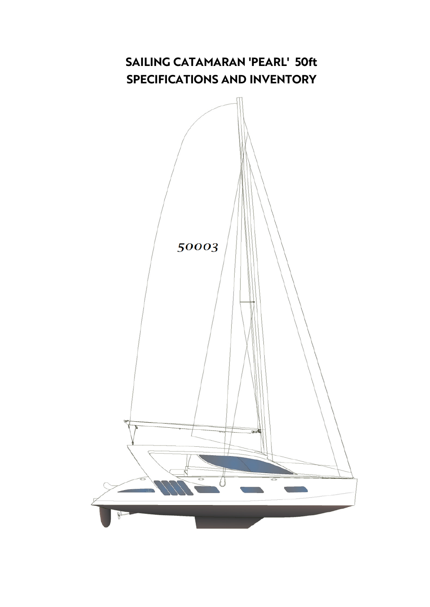## **SAILING CATAMARAN 'PEARL' 50ft SPECIFICATIONS AND INVENTORY**

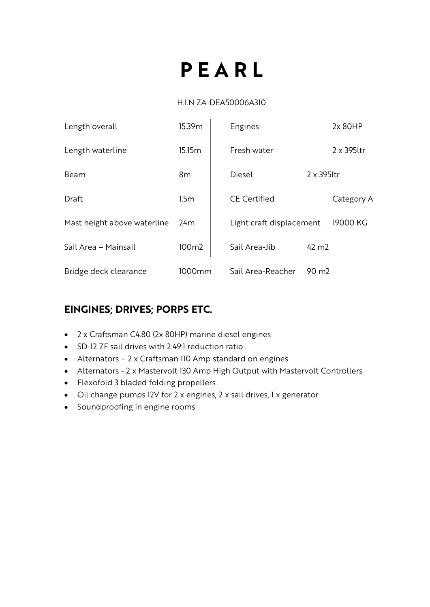# **P E A R L**

#### H.I.N ZA-DEA50006A310

| Length overall              | 15.39m           | Engines                  |                    | 2x 80HP            |
|-----------------------------|------------------|--------------------------|--------------------|--------------------|
| Length waterline            | 15.15m           | Fresh water              |                    | $2 \times 395$ ltr |
| Beam                        | 8 <sub>m</sub>   | Diesel                   | $2 \times 395$ ltr |                    |
| Draft                       | 1.5 <sub>m</sub> | <b>CE Certified</b>      |                    | Category A         |
| Mast height above waterline | 24 <sub>m</sub>  | Light craft displacement |                    | 19000 KG           |
| Sail Area - Mainsail        | 100m2            | Sail Area-Jib            | $42 \text{ m}$     |                    |
| Bridge deck clearance       | 1000mm           | Sail Area-Reacher        | $90 \text{ m}$     |                    |

#### **EINGINES; DRIVES; PORPS ETC.**

- 2 x Craftsman C4.80 (2x 80HP) marine diesel engines
- SD-12 ZF sail drives with 2.49:1 reduction ratio
- Alternators 2 x Craftsman 110 Amp standard on engines
- Alternators 2 x Mastervolt 130 Amp High Output with Mastervolt Controllers
- Flexofold 3 bladed folding propellers
- Oil change pumps 12V for 2 x engines, 2 x sail drives, 1 x generator
- Soundproofing in engine rooms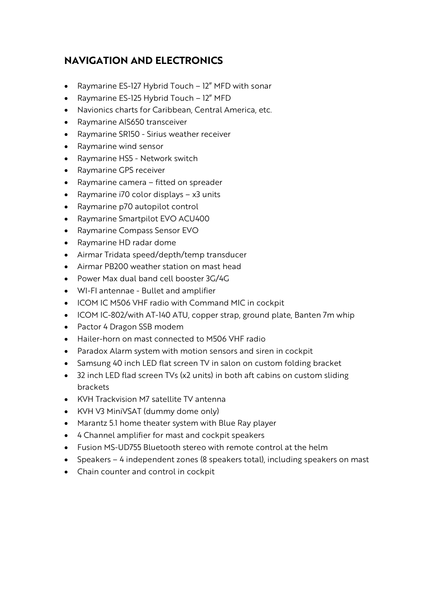#### **NAVIGATION AND ELECTRONICS**

- Raymarine ES-127 Hybrid Touch 12" MFD with sonar
- Raymarine ES-125 Hybrid Touch 12" MFD
- Navionics charts for Caribbean, Central America, etc.
- Raymarine AIS650 transceiver
- Raymarine SR150 Sirius weather receiver
- Raymarine wind sensor
- Raymarine HS5 Network switch
- Raymarine GPS receiver
- Raymarine camera fitted on spreader
- Raymarine i70 color displays x3 units
- Raymarine p70 autopilot control
- Raymarine Smartpilot EVO ACU400
- Raymarine Compass Sensor EVO
- Raymarine HD radar dome
- Airmar Tridata speed/depth/temp transducer
- Airmar PB200 weather station on mast head
- Power Max dual band cell booster 3G/4G
- WI-FI antennae Bullet and amplifier
- ICOM IC M506 VHF radio with Command MIC in cockpit
- ICOM IC-802/with AT-140 ATU, copper strap, ground plate, Banten 7m whip
- Pactor 4 Dragon SSB modem
- Hailer-horn on mast connected to M506 VHF radio
- Paradox Alarm system with motion sensors and siren in cockpit
- Samsung 40 inch LED flat screen TV in salon on custom folding bracket
- 32 inch LED flad screen TVs (x2 units) in both aft cabins on custom sliding brackets
- KVH Trackvision M7 satellite TV antenna
- KVH V3 MiniVSAT (dummy dome only)
- Marantz 5.1 home theater system with Blue Ray player
- 4 Channel amplifier for mast and cockpit speakers
- Fusion MS-UD755 Bluetooth stereo with remote control at the helm
- Speakers 4 independent zones (8 speakers total), including speakers on mast
- Chain counter and control in cockpit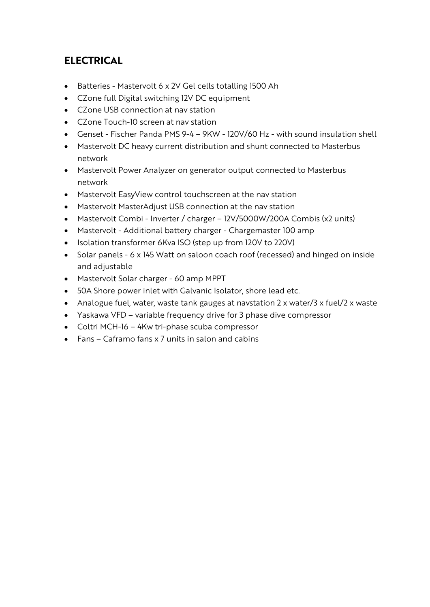#### **ELECTRICAL**

- Batteries Mastervolt 6 x 2V Gel cells totalling 1500 Ah
- CZone full Digital switching 12V DC equipment
- CZone USB connection at nav station
- CZone Touch-10 screen at nav station
- Genset Fischer Panda PMS 9-4 9KW 120V/60 Hz with sound insulation shell
- Mastervolt DC heavy current distribution and shunt connected to Masterbus network
- Mastervolt Power Analyzer on generator output connected to Masterbus network
- Mastervolt EasyView control touchscreen at the nav station
- Mastervolt MasterAdjust USB connection at the nav station
- Mastervolt Combi Inverter / charger 12V/5000W/200A Combis (x2 units)
- Mastervolt Additional battery charger Chargemaster 100 amp
- Isolation transformer 6Kva ISO (step up from 120V to 220V)
- Solar panels 6 x 145 Watt on saloon coach roof (recessed) and hinged on inside and adjustable
- Mastervolt Solar charger 60 amp MPPT
- 50A Shore power inlet with Galvanic Isolator, shore lead etc.
- Analogue fuel, water, waste tank gauges at navstation 2 x water/3 x fuel/2 x waste
- Yaskawa VFD variable frequency drive for 3 phase dive compressor
- Coltri MCH-16 4Kw tri-phase scuba compressor
- Fans Caframo fans x 7 units in salon and cabins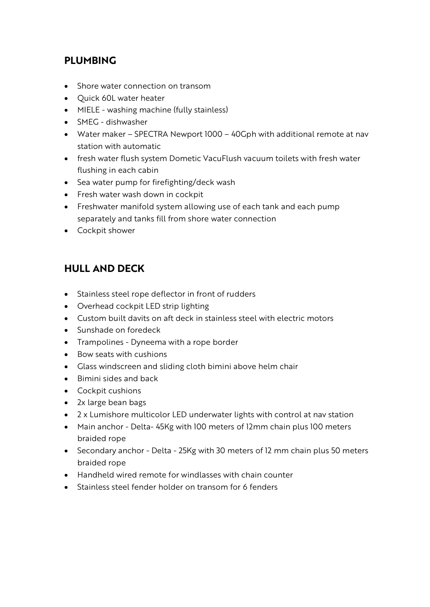#### **PLUMBING**

- Shore water connection on transom
- Quick 60L water heater
- MIELE washing machine (fully stainless)
- SMEG dishwasher
- Water maker SPECTRA Newport 1000 40Gph with additional remote at nav station with automatic
- fresh water flush system Dometic VacuFlush vacuum toilets with fresh water flushing in each cabin
- Sea water pump for firefighting/deck wash
- Fresh water wash down in cockpit
- Freshwater manifold system allowing use of each tank and each pump separately and tanks fill from shore water connection
- Cockpit shower

#### **HULL AND DECK**

- Stainless steel rope deflector in front of rudders
- Overhead cockpit LED strip lighting
- Custom built davits on aft deck in stainless steel with electric motors
- Sunshade on foredeck
- Trampolines Dyneema with a rope border
- Bow seats with cushions
- Glass windscreen and sliding cloth bimini above helm chair
- Bimini sides and back
- Cockpit cushions
- 2x large bean bags
- 2 x Lumishore multicolor LED underwater lights with control at nav station
- Main anchor Delta- 45Kg with 100 meters of 12mm chain plus 100 meters braided rope
- Secondary anchor Delta 25Kg with 30 meters of 12 mm chain plus 50 meters braided rope
- Handheld wired remote for windlasses with chain counter
- Stainless steel fender holder on transom for 6 fenders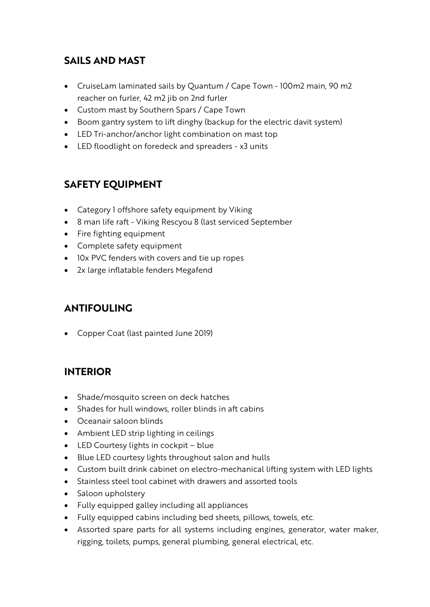#### **SAILS AND MAST**

- CruiseLam laminated sails by Quantum / Cape Town 100m2 main, 90 m2 reacher on furler, 42 m2 jib on 2nd furler
- Custom mast by Southern Spars / Cape Town
- Boom gantry system to lift dinghy (backup for the electric davit system)
- LED Tri-anchor/anchor light combination on mast top
- LED floodlight on foredeck and spreaders x3 units

#### **SAFETY EQUIPMENT**

- Category 1 offshore safety equipment by Viking
- 8 man life raft Viking Rescyou 8 (last serviced September
- Fire fighting equipment
- Complete safety equipment
- 10x PVC fenders with covers and tie up ropes
- 2x large inflatable fenders Megafend

### **ANTIFOULING**

• Copper Coat (last painted June 2019)

#### **INTERIOR**

- Shade/mosquito screen on deck hatches
- Shades for hull windows, roller blinds in aft cabins
- Oceanair saloon blinds
- Ambient LED strip lighting in ceilings
- LED Courtesy lights in cockpit blue
- Blue LED courtesy lights throughout salon and hulls
- Custom built drink cabinet on electro-mechanical lifting system with LED lights
- Stainless steel tool cabinet with drawers and assorted tools
- Saloon upholstery
- Fully equipped galley including all appliances
- Fully equipped cabins including bed sheets, pillows, towels, etc.
- Assorted spare parts for all systems including engines, generator, water maker, rigging, toilets, pumps, general plumbing, general electrical, etc.